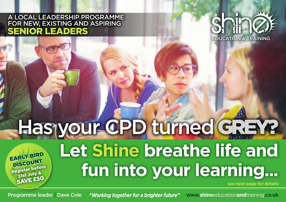## A LOCAL LEADERSHIP PROGRAMME FOR NEW, EXISTING AND ASPIRING SENIOR LEADERS



# Has your CPD turned GREY?

Register before 31st July & SAVE £50 EARLY BIRD **DISCOUNT** 

# **Let Shine breathe life and fun into your learning...**

**see next page for details**

**Programme leader | Dave Cole** *working together for a brighter future***" www.shineeducationandtraining.co.uk** *"Working together for a brighter future"*